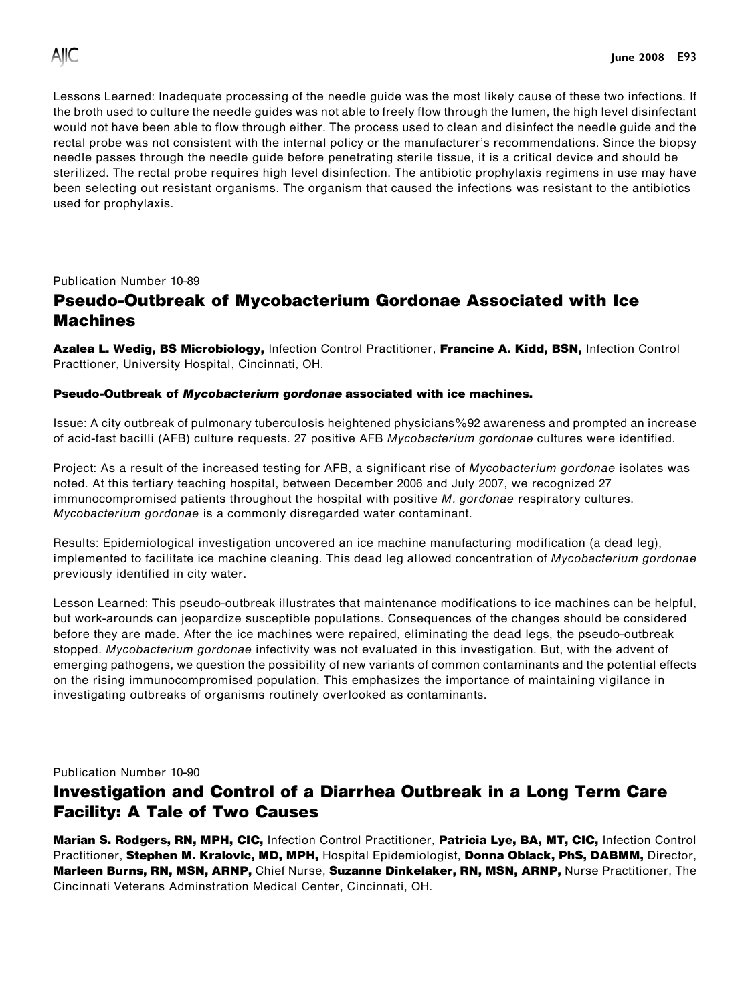Lessons Learned: Inadequate processing of the needle guide was the most likely cause of these two infections. If the broth used to culture the needle guides was not able to freely flow through the lumen, the high level disinfectant would not have been able to flow through either. The process used to clean and disinfect the needle guide and the rectal probe was not consistent with the internal policy or the manufacturer's recommendations. Since the biopsy needle passes through the needle guide before penetrating sterile tissue, it is a critical device and should be sterilized. The rectal probe requires high level disinfection. The antibiotic prophylaxis regimens in use may have been selecting out resistant organisms. The organism that caused the infections was resistant to the antibiotics used for prophylaxis.

Publication Number 10-89

## Pseudo-Outbreak of Mycobacterium Gordonae Associated with Ice Machines

Azalea L. Wedig, BS Microbiology, Infection Control Practitioner, Francine A. Kidd, BSN, Infection Control Practtioner, University Hospital, Cincinnati, OH.

## Pseudo-Outbreak of Mycobacterium gordonae associated with ice machines.

Issue: A city outbreak of pulmonary tuberculosis heightened physicians%92 awareness and prompted an increase of acid-fast bacilli (AFB) culture requests. 27 positive AFB Mycobacterium gordonae cultures were identified.

Project: As a result of the increased testing for AFB, a significant rise of Mycobacterium gordonae isolates was noted. At this tertiary teaching hospital, between December 2006 and July 2007, we recognized 27 immunocompromised patients throughout the hospital with positive M. gordonae respiratory cultures. Mycobacterium gordonae is a commonly disregarded water contaminant.

Results: Epidemiological investigation uncovered an ice machine manufacturing modification (a dead leg), implemented to facilitate ice machine cleaning. This dead leg allowed concentration of Mycobacterium gordonae previously identified in city water.

Lesson Learned: This pseudo-outbreak illustrates that maintenance modifications to ice machines can be helpful, but work-arounds can jeopardize susceptible populations. Consequences of the changes should be considered before they are made. After the ice machines were repaired, eliminating the dead legs, the pseudo-outbreak stopped. Mycobacterium gordonae infectivity was not evaluated in this investigation. But, with the advent of emerging pathogens, we question the possibility of new variants of common contaminants and the potential effects on the rising immunocompromised population. This emphasizes the importance of maintaining vigilance in investigating outbreaks of organisms routinely overlooked as contaminants.

Publication Number 10-90

## Investigation and Control of a Diarrhea Outbreak in a Long Term Care Facility: A Tale of Two Causes

Marian S. Rodgers, RN, MPH, CIC, Infection Control Practitioner, Patricia Lye, BA, MT, CIC, Infection Control Practitioner, Stephen M. Kralovic, MD, MPH, Hospital Epidemiologist, Donna Oblack, PhS, DABMM, Director, Marleen Burns, RN, MSN, ARNP, Chief Nurse, Suzanne Dinkelaker, RN, MSN, ARNP, Nurse Practitioner, The Cincinnati Veterans Adminstration Medical Center, Cincinnati, OH.